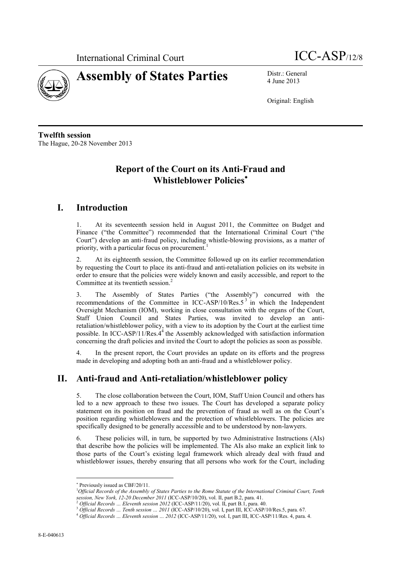



4 June 2013

Original: English

**Twelfth session** The Hague, 20-28 November 2013

## **Report of the Court on its Anti-Fraud and Whistleblower Policies**

## **I. Introduction**

1. At its seventeenth session held in August 2011, the Committee on Budget and Finance ("the Committee") recommended that the International Criminal Court ("the Court") develop an anti-fraud policy, including whistle-blowing provisions, as a matter of priority, with a particular focus on procurement.<sup>1</sup>

2. At its eighteenth session, the Committee followed up on its earlier recommendation by requesting the Court to place its anti-fraud and anti-retaliation policies on its website in order to ensure that the policies were widely known and easily accessible, and report to the Committee at its twentieth session. 2

3. The Assembly of States Parties ("the Assembly") concurred with the recommendations of the Committee in ICC-ASP/10/Res. $5<sup>3</sup>$  in which the Independent Oversight Mechanism (IOM), working in close consultation with the organs of the Court, Staff Union Council and States Parties, was invited to develop an antiretaliation/whistleblower policy, with a view to its adoption by the Court at the earliest time possible. In ICC-ASP/11/Res. $4<sup>4</sup>$  the Assembly acknowledged with satisfaction information concerning the draft policies and invited the Court to adopt the policies as soon as possible.

4. In the present report, the Court provides an update on its efforts and the progress made in developing and adopting both an anti-fraud and a whistleblower policy.

## **II. Anti-fraud and Anti-retaliation/whistleblower policy**

5. The close collaboration between the Court, IOM, Staff Union Council and others has led to a new approach to these two issues. The Court has developed a separate policy statement on its position on fraud and the prevention of fraud as well as on the Court's position regarding whistleblowers and the protection of whistleblowers. The policies are specifically designed to be generally accessible and to be understood by non-lawyers.

6. These policies will, in turn, be supported by two Administrative Instructions (AIs) that describe how the policies will be implemented. The AIs also make an explicit link to those parts of the Court's existing legal framework which already deal with fraud and whistleblower issues, thereby ensuring that all persons who work for the Court, including

 $\overline{a}$ 

Previously issued as CBF/20/11.

<sup>1</sup>*Official Records of the Assembly of States Parties to the Rome Statute of the International Criminal Court, Tenth session, New York, 12-20 December 2011* (ICC-ASP/10/20), vol. II, part B.2, para. 41.

<sup>2</sup> *Official Records … Eleventh session 2012* (ICC-ASP/11/20), vol. II, part B.1, para. 40.

<sup>3</sup> *Official Records … Tenth session … 2011* (ICC-ASP/10/20), vol. I, part III, ICC-ASP/10/Res.5, para. 67.

<sup>4</sup> *Official Records … Eleventh session … 2012* (ICC-ASP/11/20), vol. I, part III, ICC-ASP/11/Res. 4, para. 4.